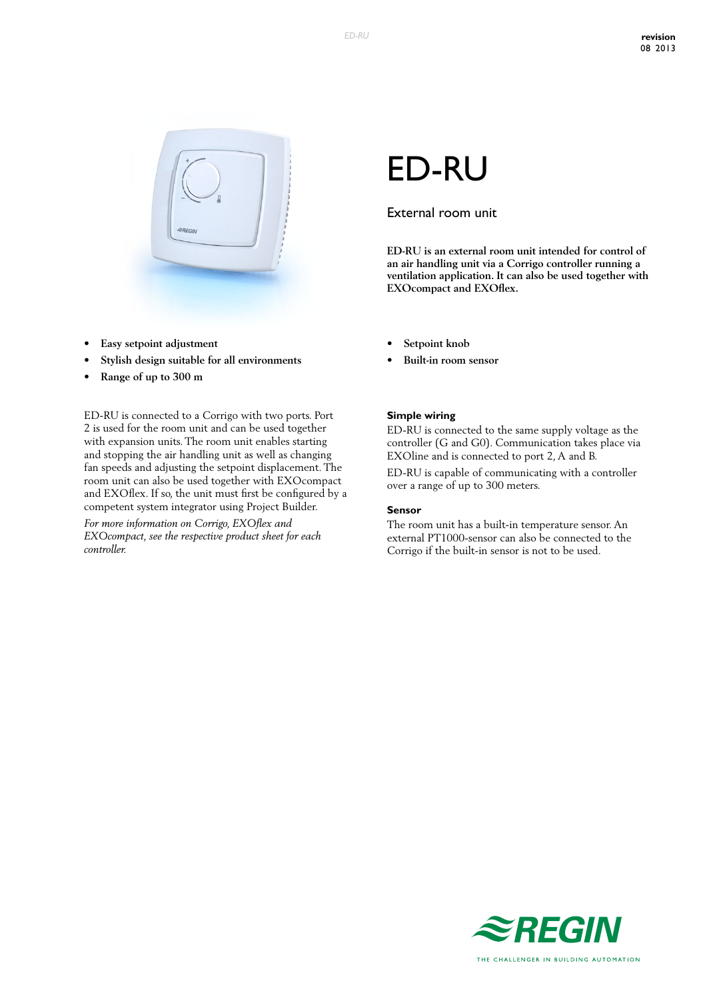

- **• Easy setpoint adjustment**
- **• Stylish design suitable for all environments**
- **• Range of up to 300 m**

ED-RU is connected to a Corrigo with two ports. Port 2 is used for the room unit and can be used together with expansion units. The room unit enables starting and stopping the air handling unit as well as changing fan speeds and adjusting the setpoint displacement. The room unit can also be used together with EXOcompact and EXOflex. If so, the unit must first be configured by a competent system integrator using Project Builder.

*For more information on Corrigo, EXOflex and EXOcompact, see the respective product sheet for each controller.*

# ED-RU

## External room unit

**ED-RU is an external room unit intended for control of an air handling unit via a Corrigo controller running a ventilation application. It can also be used together with EXOcompact and EXOflex.**

- **Setpoint** knob
- **• Built-in room sensor**

#### **Simple wiring**

ED-RU is connected to the same supply voltage as the controller (G and G0). Communication takes place via EXOline and is connected to port 2, A and B.

ED-RU is capable of communicating with a controller over a range of up to 300 meters.

#### **Sensor**

The room unit has a built-in temperature sensor. An external PT1000-sensor can also be connected to the Corrigo if the built-in sensor is not to be used.

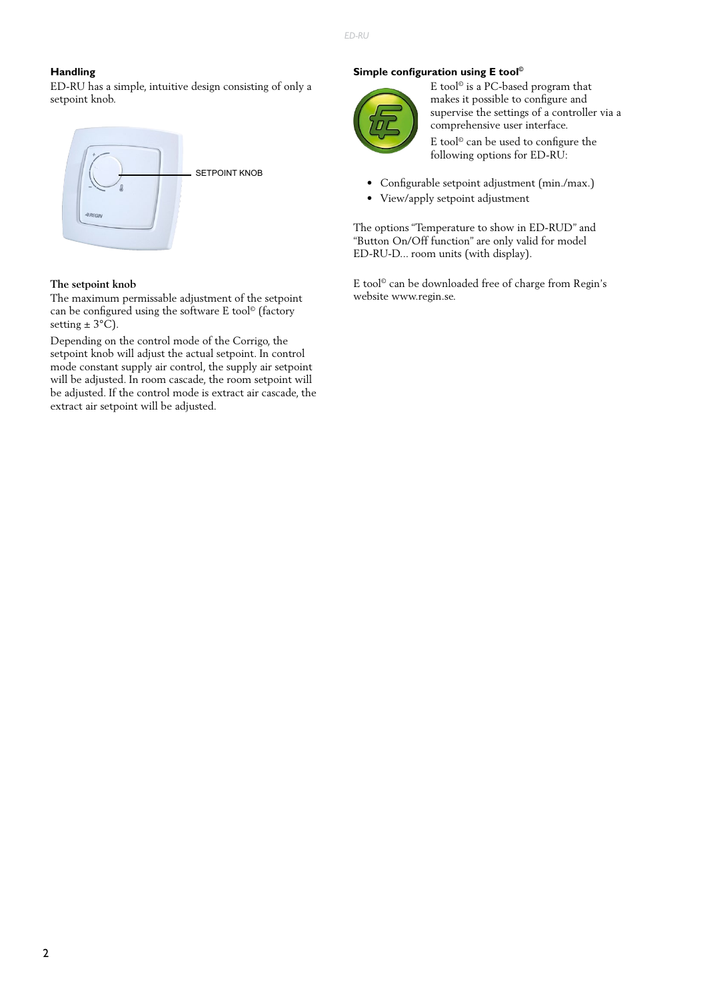### **Handling**

ED-RU has a simple, intuitive design consisting of only a setpoint knob.



#### **The setpoint knob**

The maximum permissable adjustment of the setpoint can be configured using the software E tool© (factory setting  $\pm$  3°C).

Depending on the control mode of the Corrigo, the setpoint knob will adjust the actual setpoint. In control mode constant supply air control, the supply air setpoint will be adjusted. In room cascade, the room setpoint will be adjusted. If the control mode is extract air cascade, the extract air setpoint will be adjusted.

### **Simple configuration using E tool©**



E tool© is a PC-based program that makes it possible to configure and supervise the settings of a controller via a comprehensive user interface.

E tool© can be used to configure the following options for ED-RU:

- Configurable setpoint adjustment (min./max.)
- View/apply setpoint adjustment

The options "Temperature to show in ED-RUD" and "Button On/Off function" are only valid for model ED-RU-D... room units (with display).

E tool© can be downloaded free of charge from Regin's website www.regin.se.